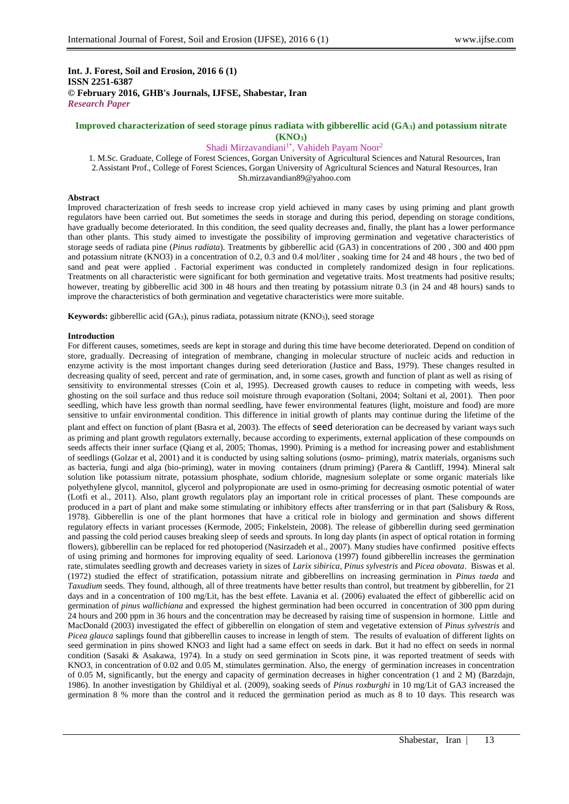## **Int. J. Forest, Soil and Erosion, 2016 6 (1) ISSN 2251-6387 © February 2016, GHB's Journals, IJFSE, Shabestar, Iran** *Research Paper*

## **Improved characterization of seed storage pinus radiata with gibberellic acid (GA3) and potassium nitrate (KNO3)**

### Shadi Mirzavandiani<sup>1\*</sup>, Vahideh Payam Noor<sup>2</sup>

1. M.Sc. Graduate, College of Forest Sciences, Gorgan University of Agricultural Sciences and Natural Resources, Iran 2.Assistant Prof., College of Forest Sciences, Gorgan University of Agricultural Sciences and Natural Resources, Iran Sh.mirzavandian89@yahoo.com

## **Abstract**

Improved characterization of fresh seeds to increase crop yield achieved in many cases by using priming and plant growth regulators have been carried out. But sometimes the seeds in storage and during this period, depending on storage conditions, have gradually become deteriorated. In this condition, the seed quality decreases and, finally, the plant has a lower performance than other plants. This study aimed to investigate the possibility of improving germination and vegetative characteristics of storage seeds of radiata pine (*Pinus radiata*). Treatments by gibberellic acid (GA3) in concentrations of 200 , 300 and 400 ppm and potassium nitrate (KNO3) in a concentration of 0.2, 0.3 and 0.4 mol/liter , soaking time for 24 and 48 hours , the two bed of sand and peat were applied . Factorial experiment was conducted in completely randomized design in four replications. Treatments on all characteristic were significant for both germination and vegetative traits. Most treatments had positive results; however, treating by gibberellic acid 300 in 48 hours and then treating by potassium nitrate 0.3 (in 24 and 48 hours) sands to improve the characteristics of both germination and vegetative characteristics were more suitable.

**Keywords:** gibberellic acid (GA3), pinus radiata, potassium nitrate (KNO3), seed storage

#### **Introduction**

For different causes, sometimes, seeds are kept in storage and during this time have become deteriorated. Depend on condition of store, gradually. Decreasing of integration of membrane, changing in molecular structure of nucleic acids and reduction in enzyme activity is the most important changes during seed deterioration (Justice and Bass, 1979). These changes resulted in decreasing quality of seed, percent and rate of germination, and, in some cases, growth and function of plant as well as rising of sensitivity to environmental stresses (Coin et al, 1995). Decreased growth causes to reduce in competing with weeds, less ghosting on the soil surface and thus reduce soil moisture through evaporation (Soltani, 2004; Soltani et al, 2001). Then poor seedling, which have less growth than normal seedling, have fewer environmental features (light, moisture and food) are more sensitive to unfair environmental condition. This difference in initial growth of plants may continue during the lifetime of the plant and effect on function of plant (Basra et al, 2003). The effects of seed deterioration can be decreased by variant ways such as priming and plant growth regulators externally, because according to experiments, external application of these compounds on seeds affects their inner surface (Qiang et al, 2005; Thomas, 1990). Priming is a method for increasing power and establishment of seedlings (Golzar et al, 2001) and it is conducted by using salting solutions (osmo- priming), matrix materials, organisms such as bacteria, fungi and alga (bio-priming), water in moving containers (drum priming) (Parera & Cantliff, 1994). Mineral salt solution like potassium nitrate, potassium phosphate, sodium chloride, magnesium soleplate or some organic materials like polyethylene glycol, mannitol, glycerol and polypropionate are used in osmo-priming for decreasing osmotic potential of water (Lotfi et al., 2011). Also, plant growth regulators play an important role in critical processes of plant. These compounds are produced in a part of plant and make some stimulating or inhibitory effects after transferring or in that part (Salisbury & Ross, 1978). Gibberellin is one of the plant hormones that have a critical role in biology and germination and shows different regulatory effects in variant processes (Kermode, 2005; Finkelstein, 2008). The release of gibberellin during seed germination and passing the cold period causes breaking sleep of seeds and sprouts. In long day plants (in aspect of optical rotation in forming flowers), gibberellin can be replaced for red photoperiod (Nasirzadeh et al., 2007). Many studies have confirmed positive effects of using priming and hormones for improving equality of seed. Larionova (1997) found gibberellin increases the germination rate, stimulates seedling growth and decreases variety in sizes of *Larix sibirica*, *Pinus sylvestris* and *Picea obovata*. Biswas et al. (1972) studied the effect of stratification, potassium nitrate and gibberellins on increasing germination in *Pinus taeda* and *Taxudium* seeds. They found, although, all of three treatments have better results than control, but treatment by gibberellin, for 21 days and in a concentration of 100 mg/Lit, has the best effete. Lavania et al. (2006) evaluated the effect of gibberellic acid on germination of *pinus wallichiana* and expressed the highest germination had been occurred in concentration of 300 ppm during 24 hours and 200 ppm in 36 hours and the concentration may be decreased by raising time of suspension in hormone. Little and MacDonald (2003) investigated the effect of gibberellin on elongation of stem and vegetative extension of *Pinus sylvestris* and *Picea glauca* saplings found that gibberellin causes to increase in length of stem. The results of evaluation of different lights on seed germination in pins showed KNO3 and light had a same effect on seeds in dark. But it had no effect on seeds in normal condition (Sasaki & Asakawa, 1974). In a study on seed germination in Scots pine, it was reported treatment of seeds with KNO3, in concentration of 0.02 and 0.05 M, stimulates germination. Also, the energy of germination increases in concentration of 0.05 M, significantly, but the energy and capacity of germination decreases in higher concentration (1 and 2 M) (Barzdajn, 1986). In another investigation by Ghildiyal et al. (2009), soaking seeds of *Pinus roxburghi* in 10 mg/Lit of GA3 increased the germination 8 % more than the control and it reduced the germination period as much as 8 to 10 days. This research was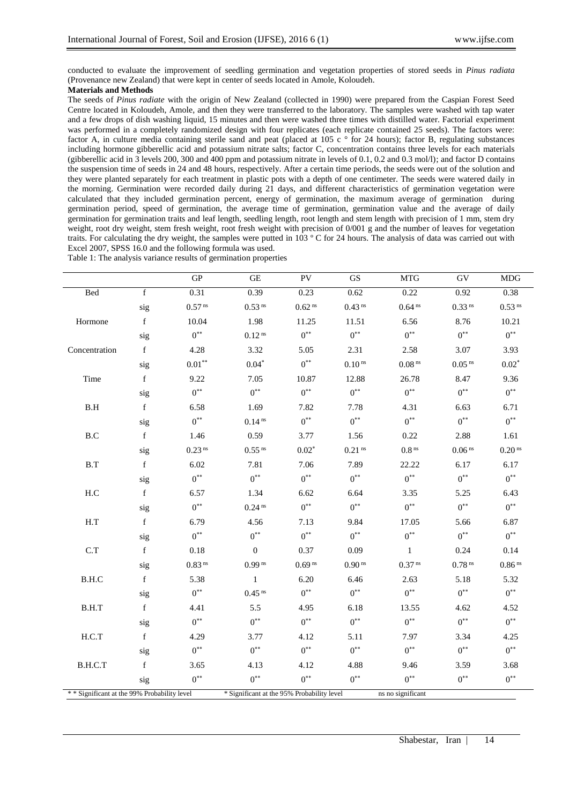conducted to evaluate the improvement of seedling germination and vegetation properties of stored seeds in *Pinus radiata* (Provenance new Zealand) that were kept in center of seeds located in Amole, Koloudeh.

# **Materials and Methods**

The seeds of *Pinus radiate* with the origin of New Zealand (collected in 1990) were prepared from the Caspian Forest Seed Centre located in Koloudeh, Amole, and then they were transferred to the laboratory. The samples were washed with tap water and a few drops of dish washing liquid, 15 minutes and then were washed three times with distilled water. Factorial experiment was performed in a completely randomized design with four replicates (each replicate contained 25 seeds). The factors were: factor A, in culture media containing sterile sand and peat (placed at 105 c $\degree$  for 24 hours); factor B, regulating substances including hormone gibberellic acid and potassium nitrate salts; factor C, concentration contains three levels for each materials (gibberellic acid in 3 levels 200, 300 and 400 ppm and potassium nitrate in levels of 0.1, 0.2 and 0.3 mol/l); and factor D contains the suspension time of seeds in 24 and 48 hours, respectively. After a certain time periods, the seeds were out of the solution and they were planted separately for each treatment in plastic pots with a depth of one centimeter. The seeds were watered daily in the morning. Germination were recorded daily during 21 days, and different characteristics of germination vegetation were calculated that they included germination percent, energy of germination, the maximum average of germination during germination period, speed of germination, the average time of germination, germination value and the average of daily germination for germination traits and leaf length, seedling length, root length and stem length with precision of 1 mm, stem dry weight, root dry weight, stem fresh weight, root fresh weight with precision of 0/001 g and the number of leaves for vegetation traits. For calculating the dry weight, the samples were putted in 103 º C for 24 hours. The analysis of data was carried out with Excel 2007, SPSS 16.0 and the following formula was used.

| Table 1: The analysis variance results of germination properties |  |  |  |
|------------------------------------------------------------------|--|--|--|
|                                                                  |  |  |  |
|                                                                  |  |  |  |

|                                              |             | <b>GP</b>            | GE                                         | PV                   | $\mathbf{G}\mathbf{S}$ | <b>MTG</b>           | GV                   | <b>MDG</b>           |
|----------------------------------------------|-------------|----------------------|--------------------------------------------|----------------------|------------------------|----------------------|----------------------|----------------------|
| Bed                                          | $\mathbf f$ | 0.31                 | 0.39                                       | 0.23                 | 0.62                   | 0.22                 | 0.92                 | 0.38                 |
|                                              | sig         | $0.57$ $^{\rm ns}$   | 0.53 <sup>ns</sup>                         | $0.62$ <sup>ns</sup> | $0.43$ <sup>ns</sup>   | 0.64 <sup>ns</sup>   | $0.33$ <sup>ns</sup> | $0.53$ <sup>ns</sup> |
| Hormone                                      | $\mathbf f$ | 10.04                | 1.98                                       | 11.25                | 11.51                  | 6.56                 | 8.76                 | 10.21                |
|                                              | sig         | $0***$               | 0.12 <sup>ns</sup>                         | $0^{**}$             | $0^{**}$               | $0^{**}$             | $0^{**}$             | $0^{**}$             |
| Concentration                                | $\mathbf f$ | 4.28                 | 3.32                                       | 5.05                 | 2.31                   | 2.58                 | 3.07                 | 3.93                 |
|                                              | sig         | $0.01**$             | $0.04*$                                    | $0^{\ast\ast}$       | $0.10$ $^{\rm ns}$     | $0.08$ $^{\rm ns}$   | $0.05$ $^{\rm ns}$   | $0.02*$              |
| Time                                         | $\mathbf f$ | 9.22                 | 7.05                                       | 10.87                | 12.88                  | 26.78                | 8.47                 | 9.36                 |
|                                              | sig         | $0***$               | $0^{**}$                                   | $0^{**}$             | $0^{**}$               | $0^{**}$             | $0^{**}$             | $0***$               |
| $\operatorname{B.H}$                         | $\mathbf f$ | 6.58                 | 1.69                                       | 7.82                 | 7.78                   | 4.31                 | 6.63                 | 6.71                 |
|                                              | sig         | $0^{**}$             | 0.14 <sup>ns</sup>                         | $0^{**}$             | $0***$                 | $0^{**}$             | $0***$               | $0***$               |
| $\operatorname{B.C}$                         | $\mathbf f$ | 1.46                 | 0.59                                       | 3.77                 | 1.56                   | 0.22                 | 2.88                 | 1.61                 |
|                                              | sig         | $0.23$ <sup>ns</sup> | $0.55$ <sup>ns</sup>                       | $0.02*$              | $0.21$ ns              | $0.8^{\,\rm ns}$     | $0.06$ $^{\rm ns}$   | $0.20$ <sup>ns</sup> |
| B.T                                          | $\mathbf f$ | 6.02                 | 7.81                                       | 7.06                 | 7.89                   | 22.22                | 6.17                 | 6.17                 |
|                                              | sig         | $0^*$                | $0^{**}$                                   | $0^{**}$             | $0***$                 | $0^{**}$             | $0^{**}$             | $0***$               |
| H.C                                          | $\mathbf f$ | 6.57                 | 1.34                                       | 6.62                 | 6.64                   | 3.35                 | 5.25                 | 6.43                 |
|                                              | sig         | $0***$               | 0.24 <sup>ns</sup>                         | $0^{**}$             | $0^{**}$               | $0^{**}$             | $0^{**}$             | $0^{**}$             |
| H.T                                          | $\mathbf f$ | 6.79                 | 4.56                                       | 7.13                 | 9.84                   | 17.05                | 5.66                 | 6.87                 |
|                                              | sig         | $0***$               | $0^{**}$                                   | $0^{**}$             | $0^{**}$               | $0^*$                | $0^{**}$             | $0***$               |
| C.T                                          | $\mathbf f$ | 0.18                 | $\boldsymbol{0}$                           | 0.37                 | 0.09                   | $\mathbf{1}$         | 0.24                 | 0.14                 |
|                                              | sig         | $0.83$ <sup>ns</sup> | $0.99$ <sup>ns</sup>                       | 0.69 <sup>ns</sup>   | $0.90$ <sup>ns</sup>   | $0.37$ <sup>ns</sup> | $0.78$ <sup>ns</sup> | $0.86$ <sup>ns</sup> |
| B.H.C                                        | $\mathbf f$ | 5.38                 | $\mathbf{1}$                               | 6.20                 | 6.46                   | 2.63                 | 5.18                 | 5.32                 |
|                                              | sig         | $0^{**}$             | $0.45$ <sup>ns</sup>                       | $0^{**}$             | $0^{**}$               | $0^{**}$             | $0^{**}$             | $0^{**}$             |
| B.H.T                                        | $\mathbf f$ | 4.41                 | 5.5                                        | 4.95                 | 6.18                   | 13.55                | 4.62                 | 4.52                 |
|                                              | sig         | $0^{**}$             | $0^{**}$                                   | $0^{**}$             | $0^{**}$               | $0^{**}$             | $0^{**}$             | $0^{**}$             |
| H.C.T                                        | $\mathbf f$ | 4.29                 | 3.77                                       | 4.12                 | 5.11                   | 7.97                 | 3.34                 | 4.25                 |
|                                              | sig         | $0***$               | $0^{**}$                                   | $0^{\ast\ast}$       | $0^{**}$               | $0***$               | $0^{\ast\ast}$       | $0^{**}$             |
| B.H.C.T                                      | $\mathbf f$ | 3.65                 | 4.13                                       | 4.12                 | 4.88                   | 9.46                 | 3.59                 | 3.68                 |
|                                              | sig         | $0^{**}$             | $0^{**}$                                   | $0***$               | $0^{**}$               | $0^{**}$             | $0***$               | $0^{**}$             |
| * * Significant at the 99% Probability level |             |                      | * Significant at the 95% Probability level |                      |                        | ns no significant    |                      |                      |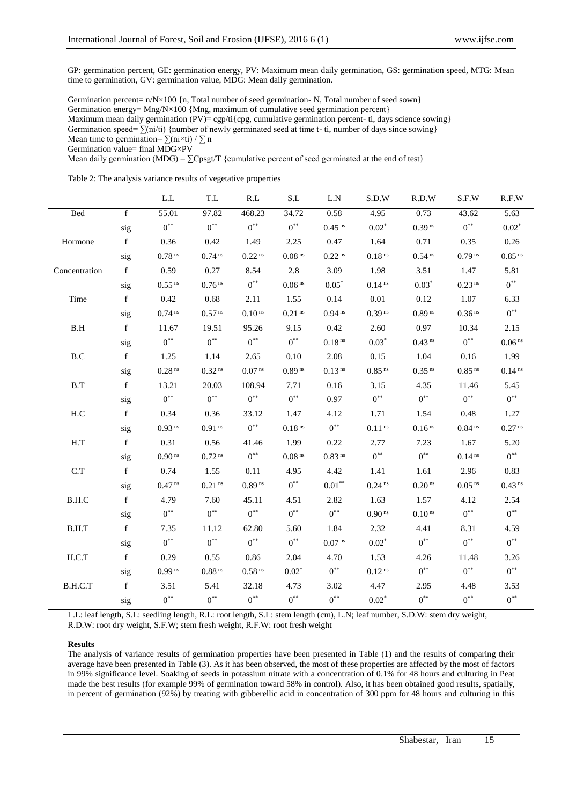GP: germination percent, GE: germination energy, PV: Maximum mean daily germination, GS: germination speed, MTG: Mean time to germination, GV: germination value, MDG: Mean daily germination.

Germination percent=  $n/N \times 100$  {n, Total number of seed germination- N, Total number of seed sown} Germination energy= Mng/N×100 {Mng, maximum of cumulative seed germination percent} Maximum mean daily germination (PV)= cgp/ti{cpg, cumulative germination percent- ti, days science sowing} Germination speed=  $\sum (ni/ti)$  {number of newly germinated seed at time t- ti, number of days since sowing} Mean time to germination=  $\sum$ (ni×ti) /  $\sum$  n Germination value= final MDG×PV

Mean daily germination (MDG) =  $\Sigma$ Cpsgt/T {cumulative percent of seed germinated at the end of test}

Table 2: The analysis variance results of vegetative properties

|                      |                | L.L                  | $\mathrm{T.L}$       | R.L                  | S.L                  | L.N                  | S.D.W                | R.D.W                | S.F.W                | R.F.W                |
|----------------------|----------------|----------------------|----------------------|----------------------|----------------------|----------------------|----------------------|----------------------|----------------------|----------------------|
| Bed                  | $\overline{f}$ | 55.01                | 97.82                | 468.23               | 34.72                | 0.58                 | 4.95                 | 0.73                 | 43.62                | 5.63                 |
|                      | sig            | $0^{**}$             | $0^{**}$             | $0^{**}$             | $0^{**}$             | $0.45$ <sup>ns</sup> | $0.02*$              | $0.39$ <sup>ns</sup> | $0^{**}$             | $0.02*$              |
| Hormone              | $\mathbf f$    | 0.36                 | 0.42                 | 1.49                 | 2.25                 | 0.47                 | 1.64                 | 0.71                 | 0.35                 | 0.26                 |
|                      | sig            | $0.78$ <sup>ns</sup> | 0.74 <sup>ns</sup>   | $0.22$ <sup>ns</sup> | 0.08 <sup>ns</sup>   | $0.22$ <sup>ns</sup> | $0.18$ <sup>ns</sup> | $0.54$ <sup>ns</sup> | $0.79$ <sup>ns</sup> | $0.85$ <sup>ns</sup> |
| Concentration        | f              | 0.59                 | 0.27                 | 8.54                 | 2.8                  | 3.09                 | 1.98                 | 3.51                 | 1.47                 | 5.81                 |
|                      | sig            | $0.55$ $^{\rm ns}$   | $0.76$ <sup>ns</sup> | $0***$               | $0.06$ $^{\rm ns}$   | $0.05*$              | $0.14$ ns            | $0.03*$              | $0.23$ <sup>ns</sup> | $0^{**}$             |
| Time                 | $\mathbf f$    | 0.42                 | 0.68                 | 2.11                 | 1.55                 | 0.14                 | $0.01\,$             | 0.12                 | 1.07                 | 6.33                 |
|                      | sig            | $0.74$ <sup>ns</sup> | $0.57$ $^{\rm ns}$   | $0.10$ $^{\rm ns}$   | $0.21$ <sup>ns</sup> | $0.94$ <sup>ns</sup> | $0.39$ <sup>ns</sup> | $0.89$ <sup>ns</sup> | $0.36$ <sup>ns</sup> | $0^{**}$             |
| B.H                  | $\mathbf f$    | 11.67                | 19.51                | 95.26                | 9.15                 | 0.42                 | 2.60                 | 0.97                 | 10.34                | 2.15                 |
|                      | sig            | $0***$               | $0^{**}$             | $0***$               | $0^{**}$             | 0.18 <sup>ns</sup>   | $0.03*$              | $0.43$ <sup>ns</sup> | $0^{**}$             | $0.06$ $^{\rm ns}$   |
| $\operatorname{B.C}$ | $\mathbf f$    | 1.25                 | 1.14                 | 2.65                 | 0.10                 | 2.08                 | 0.15                 | 1.04                 | 0.16                 | 1.99                 |
|                      | sig            | $0.28$ <sup>ns</sup> | $0.32$ <sup>ns</sup> | 0.07 <sup>ns</sup>   | $0.89$ <sup>ns</sup> | $0.13$ <sup>ns</sup> | $0.85$ <sup>ns</sup> | $0.35$ <sup>ns</sup> | $0.85$ <sup>ns</sup> | 0.14 <sup>ns</sup>   |
| B.T                  | f              | 13.21                | 20.03                | 108.94               | 7.71                 | 0.16                 | 3.15                 | 4.35                 | 11.46                | 5.45                 |
|                      | sig            | $0^{**}$             | $0^{**}$             | $0^{**}$             | $0^{\ast\ast}$       | 0.97                 | $0^{**}$             | $0^{**}$             | $0^{**}$             | $0^{**}$             |
| H.C                  | $\mathbf f$    | 0.34                 | 0.36                 | 33.12                | 1.47                 | 4.12                 | 1.71                 | 1.54                 | 0.48                 | 1.27                 |
|                      | sig            | $0.93$ <sup>ns</sup> | $0.91$ $^{\rm ns}$   | $0^{**}$             | $0.18$ $^{\rm ns}$   | $0***$               | $0.11$ <sup>ns</sup> | $0.16$ $^{\rm ns}$   | $0.84$ <sup>ns</sup> | $0.27$ <sup>ns</sup> |
| H.T                  | $\mathbf f$    | 0.31                 | 0.56                 | 41.46                | 1.99                 | 0.22                 | 2.77                 | 7.23                 | 1.67                 | 5.20                 |
|                      | sig            | $0.90$ <sup>ns</sup> | $0.72$ <sup>ns</sup> | $0^{**}$             | $0.08$ <sup>ns</sup> | $0.83$ <sup>ns</sup> | $0^{**}$             | $0^{**}$             | 0.14 <sup>ns</sup>   | $0^{**}$             |
| C.T                  | f              | 0.74                 | 1.55                 | 0.11                 | 4.95                 | 4.42                 | 1.41                 | 1.61                 | 2.96                 | 0.83                 |
|                      | sig            | $0.47$ <sup>ns</sup> | $0.21$ <sup>ns</sup> | $0.89$ <sup>ns</sup> | $0^{**}$             | $0.01**$             | 0.24 <sup>ns</sup>   | 0.20 <sup>ns</sup>   | $0.05$ <sup>ns</sup> | $0.43$ <sup>ns</sup> |
| B.H.C                | $\mathbf f$    | 4.79                 | 7.60                 | 45.11                | 4.51                 | 2.82                 | 1.63                 | 1.57                 | 4.12                 | 2.54                 |
|                      | sig            | $0^{**}$             | $0^{**}$             | $0^{**}$             | $0^{**}$             | $0^{**}$             | $0.90$ <sup>ns</sup> | 0.10 <sup>ns</sup>   | $0^{**}$             | $0^{**}$             |
| B.H.T                | $\mathbf f$    | 7.35                 | 11.12                | 62.80                | 5.60                 | 1.84                 | 2.32                 | 4.41                 | 8.31                 | 4.59                 |
|                      | sig            | $0^{**}$             | $0^{**}$             | $0^{**}$             | $0^{**}$             | 0.07 <sup>ns</sup>   | $0.02*$              | $0^{**}$             | $0^{**}$             | $0^{**}$             |
| H.C.T                | f              | 0.29                 | 0.55                 | 0.86                 | 2.04                 | 4.70                 | 1.53                 | 4.26                 | 11.48                | 3.26                 |
|                      | sig            | $0.99$ <sup>ns</sup> | $0.88$ <sup>ns</sup> | $0.58$ <sup>ns</sup> | $0.02*$              | $0^{**}$             | 0.12 <sup>ns</sup>   | $0^{**}$             | $0^{**}$             | $0^{**}$             |
| B.H.C.T              | $\mathbf f$    | 3.51                 | 5.41                 | 32.18                | 4.73                 | 3.02                 | 4.47                 | 2.95                 | 4.48                 | 3.53                 |
|                      | sig            | $0^{**}$             | $0***$               | $0^*$                | $0^{**}$             | $0^{**}$             | $0.02*$              | $0^{**}$             | $0***$               | $0^{**}$             |

L.L: leaf length, S.L: seedling length, R.L: root length, S.L: stem length (cm), L.N; leaf number, S.D.W: stem dry weight, R.D.W: root dry weight, S.F.W; stem fresh weight, R.F.W: root fresh weight

#### **Results**

The analysis of variance results of germination properties have been presented in Table (1) and the results of comparing their average have been presented in Table (3). As it has been observed, the most of these properties are affected by the most of factors in 99% significance level. Soaking of seeds in potassium nitrate with a concentration of 0.1% for 48 hours and culturing in Peat made the best results (for example 99% of germination toward 58% in control). Also, it has been obtained good results, spatially, in percent of germination (92%) by treating with gibberellic acid in concentration of 300 ppm for 48 hours and culturing in this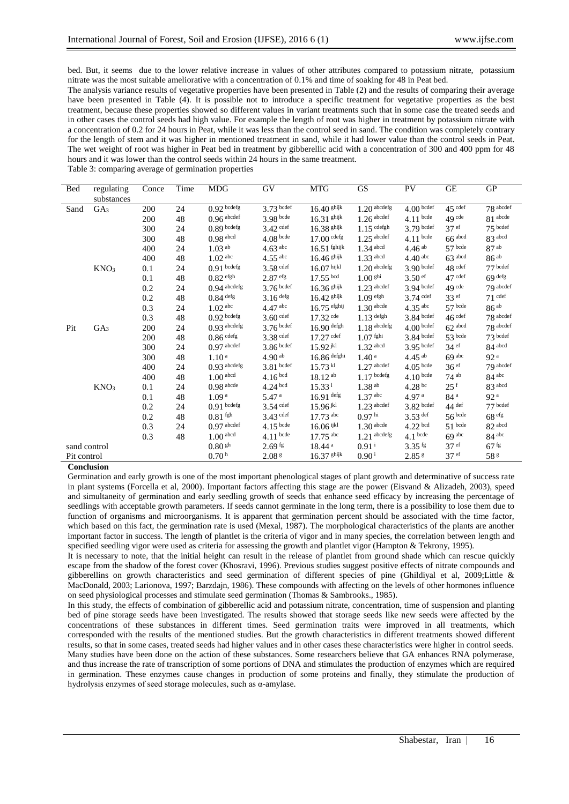bed. But, it seems due to the lower relative increase in values of other attributes compared to potassium nitrate, potassium nitrate was the most suitable ameliorative with a concentration of 0.1% and time of soaking for 48 in Peat bed.

The analysis variance results of vegetative properties have been presented in Table (2) and the results of comparing their average have been presented in Table (4). It is possible not to introduce a specific treatment for vegetative properties as the best treatment, because these properties showed so different values in variant treatments such that in some case the treated seeds and in other cases the control seeds had high value. For example the length of root was higher in treatment by potassium nitrate with a concentration of 0.2 for 24 hours in Peat, while it was less than the control seed in sand. The condition was completely contrary for the length of stem and it was higher in mentioned treatment in sand, while it had lower value than the control seeds in Peat. The wet weight of root was higher in Peat bed in treatment by gibberellic acid with a concentration of 300 and 400 ppm for 48 hours and it was lower than the control seeds within 24 hours in the same treatment.

Table 3: comparing average of germination properties

| Bed          | regulating       | Conce | Time | <b>MDG</b>         | GV                    | <b>MTG</b>         | <b>GS</b>             | PV                        | $\operatorname{GE}$  | <b>GP</b>          |
|--------------|------------------|-------|------|--------------------|-----------------------|--------------------|-----------------------|---------------------------|----------------------|--------------------|
|              | substances       |       |      |                    |                       |                    |                       |                           |                      |                    |
| Sand         | GA <sub>3</sub>  | 200   | 24   | $0.92$ bcdefg      | $3.73$ bcdef          | $16.40$ ghijk      | $1.20$ abcdefg        | $4.00\sqrt{\text{bcdef}}$ | $45 \text{ cdef}$    | $78$ abcdef        |
|              |                  | 200   | 48   | $0.96$ abcdef      | 3.98 bcde             | $16.31$ ghijk      | $1.26$ abcdef         | $4.11$ bcde               | 49 <sup>cde</sup>    | $81$ abcde         |
|              |                  | 300   | 24   | $0.89$ bcdefg      | $3.42$ cdef           | $16.38$ ghijk      | $1.15$ cdefgh         | $3.79$ bcdef              | 37 <sup>ef</sup>     | 75 bcdef           |
|              |                  | 300   | 48   | $0.98$ abcd        | $4.08$ bcde           | $17.00$ cdefg      | $1.25$ abcdef         | $4.11$ bcde               | $66$ <sup>abcd</sup> | 83 abcd            |
|              |                  | 400   | 24   | 1.03 <sup>ab</sup> | $4.63$ <sup>abc</sup> | $16.51$ fghijk     | $1.34$ abcd           | 4.46 <sup>ab</sup>        | $57$ bcde            | $87$ <sup>ab</sup> |
|              |                  | 400   | 48   | $1.02$ abc         | $4.55$ <sup>abc</sup> | $16.46$ ghijk      | $1.33$ abcd           | 4.40 <sup>abc</sup>       | $63$ <sup>abcd</sup> | 86 <sup>ab</sup>   |
|              | KNO <sub>3</sub> | 0.1   | 24   | $0.91$ bcdefg      | $3.58$ cdef           | $16.07$ hijkl      | $1.20$ abcdefg        | $3.90$ bcdef              | $48$ cdef            | 77 bcdef           |
|              |                  | 0.1   | 48   | $0.82$ efgh        | $2.87$ efg            | $17.55$ bcd        | $1.00$ <sup>ghi</sup> | $3.50$ ef                 | $47$ cdef            | $69$ defg          |
|              |                  | 0.2   | 24   | $0.94$ abcdefg     | $3.76$ bcdef          | $16.36$ ghijk      | $1.23$ abcdef         | $3.94$ bcdef              | 49 <sup>cde</sup>    | 79 abcdef          |
|              |                  | 0.2   | 48   | $0.84$ defg        | $3.16$ defg           | $16.42$ ghijk      | $1.09$ efgh           | $3.74$ cdef               | 33 <sup>ef</sup>     | $71$ cdef          |
|              |                  | 0.3   | 24   | $1.02$ abc         | $4.47$ abc            | $16.75$ efghij     | $1.30$ abcde          | $4.35$ <sup>abc</sup>     | $57$ bcde            | 86 <sup>ab</sup>   |
|              |                  | 0.3   | 48   | $0.92$ bcdefg      | $3.60$ cdef           | $17.32$ cde        | $1.13$ defgh          | $3.84$ bcdef              | $46$ cdef            | 78 abcdef          |
| Pit          | GA <sub>3</sub>  | 200   | 24   | $0.93$ abcdefg     | $3.76$ bcdef          | $16.90$ defgh      | $1.18$ abcdefg        | $4.00$ bcdef              | $62$ abcd            | 78 abcdef          |
|              |                  | 200   | 48   | $0.86$ cdefg       | $3.38$ cdef           | $17.27$ cdef       | $1.07$ fghi           | $3.84$ bcdef              | $53$ bcde            | $73$ bcdef         |
|              |                  | 300   | 24   | $0.97$ abcdef      | $3.86$ bcdef          | $15.92$ jkl        | $1.32$ abcd           | $3.95$ bcdef              | 34 <sup>ef</sup>     | 84 abcd            |
|              |                  | 300   | 48   | 1.10 <sup>a</sup>  | $4.90^{ab}$           | $16.86$ defghi     | 1.40 <sup>a</sup>     | $4.45^{ab}$               | 69 <sup>abc</sup>    | 92 <sup>a</sup>    |
|              |                  | 400   | 24   | $0.93$ abcdefg     | $3.81$ bcdef          | $15.73$ kl         | $1.27$ abcdef         | $4.05$ bcde               | 36 <sup>ef</sup>     | 79 abcdef          |
|              |                  | 400   | 48   | $1.00$ abcd        | 4.16 <sup>bcd</sup>   | $18.12^{ab}$       | $1.17$ bcdefg         | 4.10 <sup>bcde</sup>      | 74 <sup>ab</sup>     | $84^{abc}$         |
|              | KNO <sub>3</sub> | 0.1   | 24   | $0.98$ abcde       | $4.24$ bcd            | 15.33 <sup>1</sup> | $1.38$ <sup>ab</sup>  | $4.28 \text{ pc}$         | $25^{\rm f}$         | 83 abcd            |
|              |                  | 0.1   | 48   | 1.09 <sup>a</sup>  | 5.47 <sup>a</sup>     | $16.91$ defg       | 1.37 <sup>abc</sup>   | 4.97 <sup>a</sup>         | 84 <sup>a</sup>      | 92 <sup>a</sup>    |
|              |                  | 0.2   | 24   | $0.91$ bcdefg      | $3.54$ cdef           | $15.96$ jkl        | $1.23$ abcdef         | $3.82$ bcdef              | $44$ def             | $77$ bcdef         |
|              |                  | 0.2   | 48   | $0.81\,^{\rm fgh}$ | $3.43$ def            | $17.73$ abc        | $0.97$ hi             | $3.53$ def                | $56$ bcde            | 68 <sup>efg</sup>  |
|              |                  | 0.3   | 24   | $0.97$ abcdef      | $4.15$ bcde           | $16.06$ ijkl       | $1.30$ abcde          | $4.22$ bcd                | $51$ bcde            | 82 abcd            |
|              |                  | 0.3   | 48   | $1.00$ abcd        | $4.11$ bcde           | $17.75$ abc        | $1.21$ abcdefg        | $4.1$ bcde                | 69 <sup>abc</sup>    | $84^{abc}$         |
| sand control |                  |       |      | $0.80\,$ $\rm{gh}$ | $2.69$ fg             | 18.44 <sup>a</sup> | $0.91$ <sup>i</sup>   | $3.35$ <sup>fg</sup>      | 37 <sup>ef</sup>     | $67$ <sup>fg</sup> |
| Pit control  |                  |       |      | 0.70 <sup>h</sup>  | 2.08 <sup>g</sup>     | $16.37$ ghijk      | $0.90^{\rm i}$        | 2.85 <sup>g</sup>         | 37 <sup>ef</sup>     | 58 <sup>g</sup>    |

## **Conclusion**

Germination and early growth is one of the most important phenological stages of plant growth and determinative of success rate in plant systems (Forcella et al, 2000). Important factors affecting this stage are the power (Eisvand & Alizadeh, 2003), speed and simultaneity of germination and early seedling growth of seeds that enhance seed efficacy by increasing the percentage of seedlings with acceptable growth parameters. If seeds cannot germinate in the long term, there is a possibility to lose them due to function of organisms and microorganisms. It is apparent that germination percent should be associated with the time factor, which based on this fact, the germination rate is used (Mexal, 1987). The morphological characteristics of the plants are another important factor in success. The length of plantlet is the criteria of vigor and in many species, the correlation between length and specified seedling vigor were used as criteria for assessing the growth and plantlet vigor (Hampton & Tekrony, 1995).

It is necessary to note, that the initial height can result in the release of plantlet from ground shade which can rescue quickly escape from the shadow of the forest cover (Khosravi, 1996). Previous studies suggest positive effects of nitrate compounds and gibberellins on growth characteristics and seed germination of different species of pine (Ghildiyal et al, 2009;Little & MacDonald, 2003; Larionova, 1997; Barzdajn, 1986). These compounds with affecting on the levels of other hormones influence on seed physiological processes and stimulate seed germination (Thomas & Sambrooks., 1985).

In this study, the effects of combination of gibberellic acid and potassium nitrate, concentration, time of suspension and planting bed of pine storage seeds have been investigated. The results showed that storage seeds like new seeds were affected by the concentrations of these substances in different times. Seed germination traits were improved in all treatments, which corresponded with the results of the mentioned studies. But the growth characteristics in different treatments showed different results, so that in some cases, treated seeds had higher values and in other cases these characteristics were higher in control seeds. Many studies have been done on the action of these substances. Some researchers believe that GA enhances RNA polymerase, and thus increase the rate of transcription of some portions of DNA and stimulates the production of enzymes which are required in germination. These enzymes cause changes in production of some proteins and finally, they stimulate the production of hydrolysis enzymes of seed storage molecules, such as α-amylase.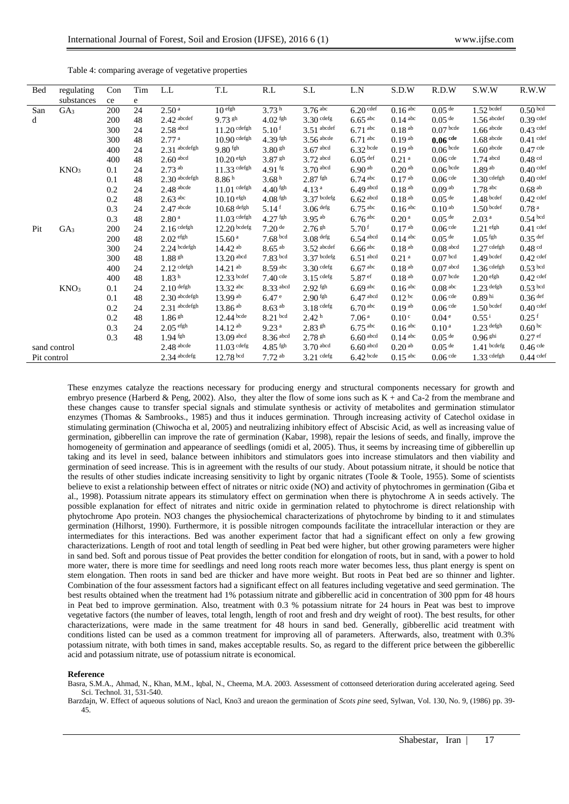| <b>Bed</b>   | regulating       | Con | Tim | L.L                    | T.L                | R.L                    | S.L                   | $\mathbf{L}.\mathbf{N}$ | S.D.W                 | R.D.W                 | S.W.W                 | R.W.W                 |
|--------------|------------------|-----|-----|------------------------|--------------------|------------------------|-----------------------|-------------------------|-----------------------|-----------------------|-----------------------|-----------------------|
|              | substances       | ce  | e   |                        |                    |                        |                       |                         |                       |                       |                       |                       |
| San          | GA <sub>3</sub>  | 200 | 24  | 2.50 <sup>a</sup>      | 10 <sup>efgh</sup> | 3.73 <sup>h</sup>      | $3.76 \overline{abc}$ | $6.20 \text{ cdef}$     | $0.16 \overline{abc}$ | $0.05 \text{ dB}$     | $1.52$ bcdef          | 0.50 <sup>bcd</sup>   |
| d            |                  | 200 | 48  | $2.42$ abcdef          | $9.73$ gh          | $4.02$ fgh             | $3.30$ cdefg          | $6.65$ <sup>abc</sup>   | $0.14$ abc            | $0.05$ <sup>de</sup>  | $1.56$ abcdef         | $0.39$ cdef           |
|              |                  | 300 | 24  | $2.58$ <sup>abcd</sup> | $11.20$ cdefgh     | 5.10 <sup>f</sup>      | $3.51$ abcdef         | $6.71$ <sup>abc</sup>   | 0.18 <sup>ab</sup>    | $0.07$ bcde           | $1.66$ abcde          | $0.43$ cdef           |
|              |                  | 300 | 48  | 2.77 <sup>a</sup>      | $10.90$ cdefgh     | $4.39$ fgh             | $3.56$ abcde          | $6.71$ <sup>abc</sup>   | $0.19^{ab}$           | $0.06$ cde            | $1.68$ abcde          | $0.41$ cdef           |
|              |                  | 400 | 24  | $2.31$ abcdefgh        | $9.80$ fgh         | $3.80\,$ sh            | $3.67$ abcd           | $6.32$ bcde             | $0.19^{ab}$           | $0.06$ bcde           | $1.60$ abcde          | $0.47$ cde            |
|              |                  | 400 | 48  | $2.60$ abcd            | $10.20$ efgh       | $3.87$ gh              | $3.72$ abcd           | $6.05$ <sup>def</sup>   | 0.21 <sup>a</sup>     | $0.06$ cde            | $1.74$ abcd           | $0.48$ <sup>cd</sup>  |
|              | KNO <sub>3</sub> | 0.1 | 24  | $2.73$ <sup>ab</sup>   | 11.33 cdefgh       | $4.91$ fg              | $3.70$ abcd           | 6.90 <sup>ab</sup>      | 0.20 <sup>ab</sup>    | $0.06$ bcde           | $1.89^{ab}$           | $0.40$ cdef           |
|              |                  | 0.1 | 48  | $2.30$ abcdefgh        | 8.86h              | 3.68h                  | $2.87$ fgh            | $6.74$ abc              | 0.17 <sup> ab</sup>   | $0.06$ cde            | $1.30$ cdefgh         | $0.40$ cdef           |
|              |                  | 0.2 | 24  | $2.48$ abcde           | $11.01$ cdefgh     | $4.40$ fgh             | 4.13 <sup>a</sup>     | $6.49$ abcd             | 0.18 <sup>ab</sup>    | 0.09 <sup> ab</sup>   | $1.78$ <sup>abc</sup> | $0.68$ <sup>ab</sup>  |
|              |                  | 0.2 | 48  | $2.63$ <sup>abc</sup>  | $10.10$ efgh       | $4.08$ fgh             | $3.37$ bcdefg         | $6.62$ abcd             | 0.18 <sup>ab</sup>    | $0.05$ <sup>de</sup>  | $1.48$ bcdef          | $0.42$ cdef           |
|              |                  | 0.3 | 24  | $2.47$ abcde           | $10.68$ defgh      | $5.14$ <sup>f</sup>    | $3.06$ defg           | $6.75$ <sup>abc</sup>   | $0.16$ <sup>abc</sup> | 0.10 <sup>ab</sup>    | $1.50$ bcdef          | 0.78 <sup>a</sup>     |
|              |                  | 0.3 | 48  | 2.80 <sup>a</sup>      | $11.03$ cdefgh     | $4.27$ fgh             | $3.95^{ab}$           | $6.76$ <sup>abc</sup>   | 0.20 <sup>a</sup>     | $0.05$ <sup>de</sup>  | 2.03 <sup>a</sup>     | $0.54$ bcd            |
| Pit          | GA <sub>3</sub>  | 200 | 24  | $2.16$ cdefgh          | $12.20$ bcdefg     | $7.20$ <sup>de</sup>   | $2.76$ gh             | 5.70 <sup>f</sup>       | 0.17 <sup> ab</sup>   | $0.06$ cde            | $1.21$ efgh           | $0.41$ cdef           |
|              |                  | 200 | 48  | $2.02$ efgh            | 15.60 <sup>a</sup> | $7.68$ bcd             | $3.08$ defg           | $6.54$ <sup>abcd</sup>  | $0.14$ abc            | $0.05$ <sup>de</sup>  | $1.05$ fgh            | $0.35$ <sup>def</sup> |
|              |                  | 300 | 24  | $2.24$ bcdefgh         | $14.42^{ab}$       | $8.65$ <sup>ab</sup>   | $3.52$ abcdef         | $6.66$ <sup>abc</sup>   | 0.18 <sup>ab</sup>    | $0.08$ abcd           | $1.27$ cdefgh         | $0.48$ cd             |
|              |                  | 300 | 48  | $1.88$ gh              | $13.20$ abcd       | $7.83$ bcd             | $3.37$ bcdefg         | $6.51$ abcd             | 0.21 <sup>a</sup>     | 0.07 <sup>bcd</sup>   | $1.49$ bcdef          | $0.42$ def            |
|              |                  | 400 | 24  | $2.12$ cdefgh          | $14.21^{ab}$       | $8.59$ <sup>abc</sup>  | $3.30$ cdefg          | $6.67$ <sup>abc</sup>   | 0.18 <sup>ab</sup>    | $0.07$ abcd           | $1.36$ cdefgh         | $0.53$ bcd            |
|              |                  | 400 | 48  | 1.83 <sup>h</sup>      | $12.33$ bcdef      | $7.40$ cde             | $3.15$ cdefg          | 5.87 ef                 | $0.18$ <sup>ab</sup>  | $0.07$ bcde           | $1.20$ efgh           | $0.42$ def            |
|              | KNO <sub>3</sub> | 0.1 | 24  | $2.10$ defgh           | 13.32 abc          | $8.33$ <sup>abcd</sup> | $2.92$ fgh            | $6.69$ <sup>abc</sup>   | $0.16$ <sup>abc</sup> | $0.08$ <sup>abc</sup> | $1.23$ defgh          | $0.53$ bcd            |
|              |                  | 0.1 | 48  | $2.30$ abcdefgh        | $13.99^{ab}$       | 6.47 <sup>e</sup>      | $2.90$ fgh            | $6.47$ abcd             | $0.12^{bc}$           | $0.06$ cde            | 0.89 <sup>hi</sup>    | $0.36$ <sup>def</sup> |
|              |                  | 0.2 | 24  | $2.31$ abcdefgh        | $13.86^{ab}$       | $8.63$ <sup>ab</sup>   | $3.18$ cdefg          | 6.70 <sup>abc</sup>     | $0.19^{ab}$           | $0.06$ cde            | $1.50$ bcdef          | $0.40$ def            |
|              |                  | 0.2 | 48  | $1.86$ <sup>gh</sup>   | $12.44$ bcde       | $8.21$ bcd             | 2.42 <sup>h</sup>     | 7.06 <sup>a</sup>       | 0.10 <sup>c</sup>     | 0.04 <sup>e</sup>     | $0.55^{\rm i}$        | $0.25$ <sup>f</sup>   |
|              |                  | 0.3 | 24  | $2.05$ efgh            | $14.12^{ab}$       | 9.23 <sup>a</sup>      | $2.83$ gh             | $6.75$ <sup>abc</sup>   | $0.16$ abc            | 0.10 <sup>a</sup>     | $1.23$ defgh          | 0.60 <sup>bc</sup>    |
|              |                  | 0.3 | 48  | $1.94$ fgh             | 13.09 abcd         | $8.36$ abcd            | $2.78$ $\rm{gh}$      | $6.60$ abcd             | $0.14$ <sup>abc</sup> | $0.05$ <sup>de</sup>  | $0.96$ <sup>ghi</sup> | $0.27$ ef             |
| sand control |                  |     |     | $2.48$ abcde           | $11.03$ cdefg      | $4.85$ fgh             | $3.70$ abcd           | $6.60$ abcd             | 0.20 <sup>ab</sup>    | $0.05$ <sup>de</sup>  | $1.41$ bcdefg         | $0.46$ cde            |
| Pit control  |                  |     |     | $2.34$ abcdefg         | $12.78$ bcd        | $7.72^{ab}$            | $3.21$ cdefg          | $6.42$ bcde             | $0.15$ <sup>abc</sup> | $0.06$ cde            | $1.33$ cdefgh         | $0.44$ cdef           |

Table 4: comparing average of vegetative properties

These enzymes catalyze the reactions necessary for producing energy and structural components necessary for growth and embryo presence (Harberd & Peng, 2002). Also, they alter the flow of some ions such as K + and Ca-2 from the membrane and these changes cause to transfer special signals and stimulate synthesis or activity of metabolites and germination stimulator enzymes (Thomas & Sambrooks., 1985) and thus it induces germination. Through increasing activity of Catechol oxidase in stimulating germination (Chiwocha et al, 2005) and neutralizing inhibitory effect of Abscisic Acid, as well as increasing value of germination, gibberellin can improve the rate of germination (Kabar, 1998), repair the lesions of seeds, and finally, improve the homogeneity of germination and appearance of seedlings (omidi et al, 2005). Thus, it seems by increasing time of gibberellin up taking and its level in seed, balance between inhibitors and stimulators goes into increase stimulators and then viability and germination of seed increase. This is in agreement with the results of our study. About potassium nitrate, it should be notice that the results of other studies indicate increasing sensitivity to light by organic nitrates (Toole & Toole, 1955). Some of scientists believe to exist a relationship between effect of nitrates or nitric oxide (NO) and activity of phytochromes in germination (Giba et al., 1998). Potassium nitrate appears its stimulatory effect on germination when there is phytochrome A in seeds actively. The possible explanation for effect of nitrates and nitric oxide in germination related to phytochrome is direct relationship with phytochrome Apo protein. NO3 changes the physiochemical characterizations of phytochrome by binding to it and stimulates germination (Hilhorst, 1990). Furthermore, it is possible nitrogen compounds facilitate the intracellular interaction or they are intermediates for this interactions. Bed was another experiment factor that had a significant effect on only a few growing characterizations. Length of root and total length of seedling in Peat bed were higher, but other growing parameters were higher in sand bed. Soft and porous tissue of Peat provides the better condition for elongation of roots, but in sand, with a power to hold more water, there is more time for seedlings and need long roots reach more water becomes less, thus plant energy is spent on stem elongation. Then roots in sand bed are thicker and have more weight. But roots in Peat bed are so thinner and lighter. Combination of the four assessment factors had a significant effect on all features including vegetative and seed germination. The best results obtained when the treatment had 1% potassium nitrate and gibberellic acid in concentration of 300 ppm for 48 hours in Peat bed to improve germination. Also, treatment with 0.3 % potassium nitrate for 24 hours in Peat was best to improve vegetative factors (the number of leaves, total length, length of root and fresh and dry weight of root). The best results, for other characterizations, were made in the same treatment for 48 hours in sand bed. Generally, gibberellic acid treatment with conditions listed can be used as a common treatment for improving all of parameters. Afterwards, also, treatment with 0.3% potassium nitrate, with both times in sand, makes acceptable results. So, as regard to the different price between the gibberellic acid and potassium nitrate, use of potassium nitrate is economical.

## **Reference**

Basra, S.M.A., Ahmad, N., Khan, M.M., Iqbal, N., Cheema, M.A. 2003. Assessment of cottonseed deterioration during accelerated ageing. Seed Sci. Technol. 31, 531-540.

Barzdajn, W. Effect of aqueous solutions of Nacl, Kno3 and ureaon the germination of *Scots pine* seed, Sylwan, Vol. 130, No. 9, (1986) pp. 39- 45.